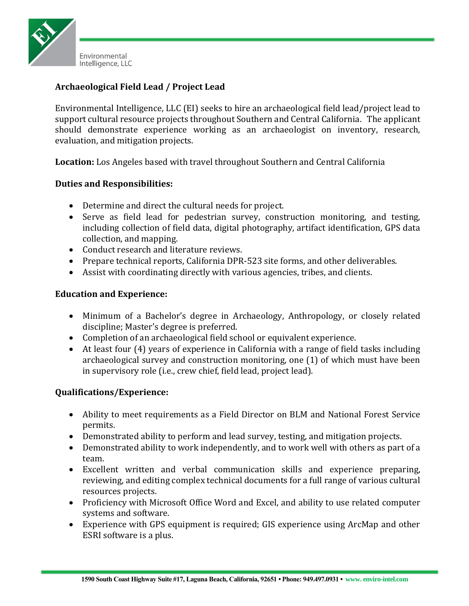

## **Archaeological Field Lead / Project Lead**

Environmental Intelligence, LLC (EI) seeks to hire an archaeological field lead/project lead to support cultural resource projects throughout Southern and Central California. The applicant should demonstrate experience working as an archaeologist on inventory, research, evaluation, and mitigation projects.

**Location:** Los Angeles based with travel throughout Southern and Central California

## **Duties and Responsibilities:**

- Determine and direct the cultural needs for project.
- Serve as field lead for pedestrian survey, construction monitoring, and testing, including collection of field data, digital photography, artifact identification, GPS data collection, and mapping.
- Conduct research and literature reviews.
- Prepare technical reports, California DPR-523 site forms, and other deliverables.
- Assist with coordinating directly with various agencies, tribes, and clients.

## **Education and Experience:**

- Minimum of a Bachelor's degree in Archaeology, Anthropology, or closely related discipline; Master's degree is preferred.
- Completion of an archaeological field school or equivalent experience.
- At least four (4) years of experience in California with a range of field tasks including archaeological survey and construction monitoring, one (1) of which must have been in supervisory role (i.e., crew chief, field lead, project lead).

## **Qualifications/Experience:**

- Ability to meet requirements as a Field Director on BLM and National Forest Service permits.
- Demonstrated ability to perform and lead survey, testing, and mitigation projects.
- Demonstrated ability to work independently, and to work well with others as part of a team.
- Excellent written and verbal communication skills and experience preparing, reviewing, and editing complex technical documents for a full range of various cultural resources projects.
- Proficiency with Microsoft Office Word and Excel, and ability to use related computer systems and software.
- Experience with GPS equipment is required; GIS experience using ArcMap and other ESRI software is a plus.